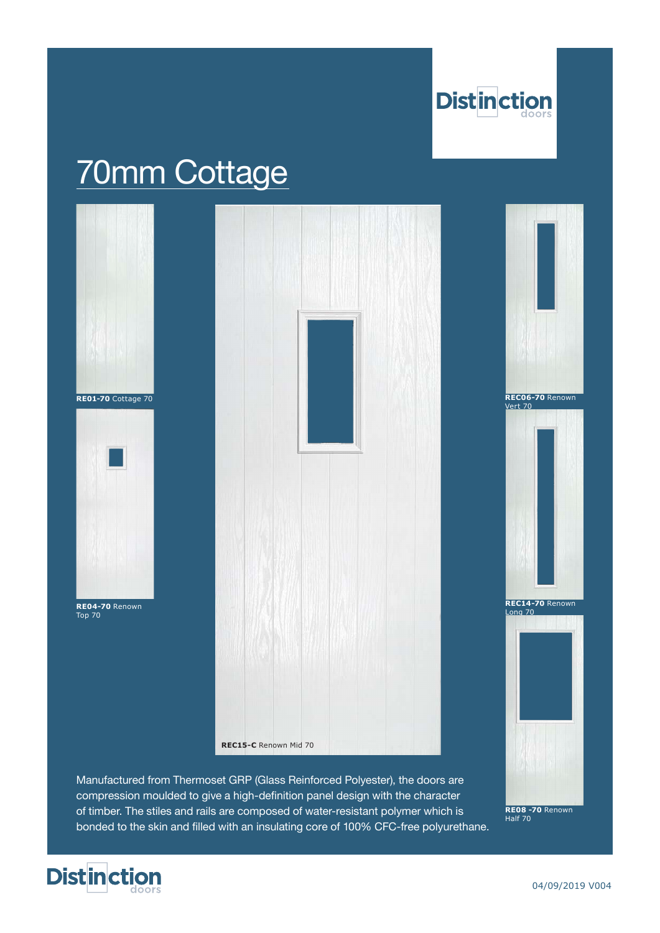

# 70mm Cottage



Manufactured from Thermoset GRP (Glass Reinforced Polyester), the doors are compression moulded to give a high-definition panel design with the character of timber. The stiles and rails are composed of water-resistant polymer which is bonded to the skin and filled with an insulating core of 100% CFC-free polyurethane.